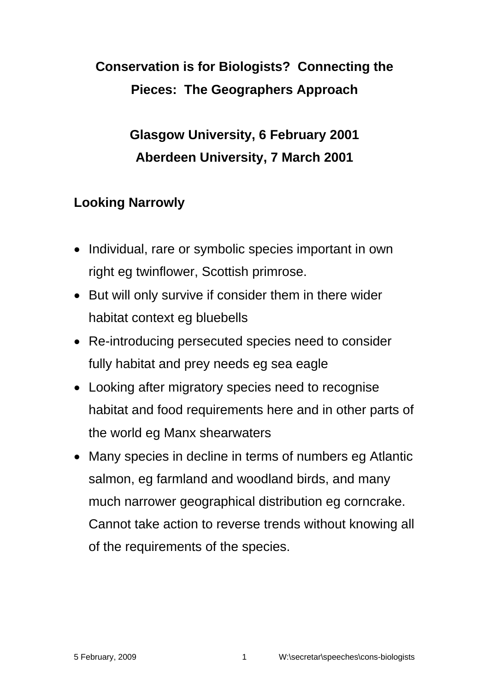# **Conservation is for Biologists? Connecting the Pieces: The Geographers Approach**

**Glasgow University, 6 February 2001 Aberdeen University, 7 March 2001** 

## **Looking Narrowly**

- Individual, rare or symbolic species important in own right eg twinflower, Scottish primrose.
- But will only survive if consider them in there wider habitat context eg bluebells
- Re-introducing persecuted species need to consider fully habitat and prey needs eg sea eagle
- Looking after migratory species need to recognise habitat and food requirements here and in other parts of the world eg Manx shearwaters
- Many species in decline in terms of numbers eg Atlantic salmon, eg farmland and woodland birds, and many much narrower geographical distribution eg corncrake. Cannot take action to reverse trends without knowing all of the requirements of the species.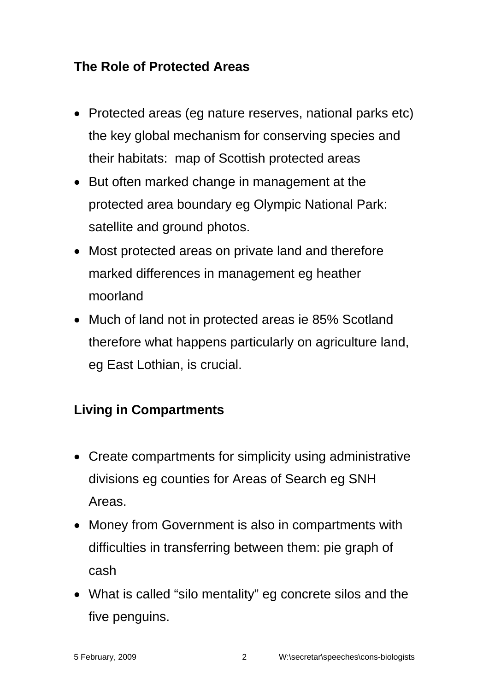#### **The Role of Protected Areas**

- Protected areas (eg nature reserves, national parks etc) the key global mechanism for conserving species and their habitats: map of Scottish protected areas
- But often marked change in management at the protected area boundary eg Olympic National Park: satellite and ground photos.
- Most protected areas on private land and therefore marked differences in management eg heather moorland
- Much of land not in protected areas ie 85% Scotland therefore what happens particularly on agriculture land, eg East Lothian, is crucial.

# **Living in Compartments**

- Create compartments for simplicity using administrative divisions eg counties for Areas of Search eg SNH Areas.
- Money from Government is also in compartments with difficulties in transferring between them: pie graph of cash
- What is called "silo mentality" eg concrete silos and the five penguins.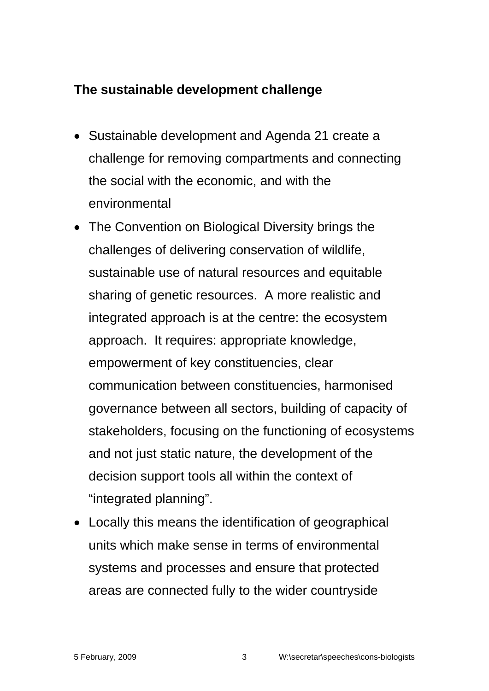## **The sustainable development challenge**

- Sustainable development and Agenda 21 create a challenge for removing compartments and connecting the social with the economic, and with the environmental
- The Convention on Biological Diversity brings the challenges of delivering conservation of wildlife, sustainable use of natural resources and equitable sharing of genetic resources. A more realistic and integrated approach is at the centre: the ecosystem approach. It requires: appropriate knowledge, empowerment of key constituencies, clear communication between constituencies, harmonised governance between all sectors, building of capacity of stakeholders, focusing on the functioning of ecosystems and not just static nature, the development of the decision support tools all within the context of "integrated planning".
- Locally this means the identification of geographical units which make sense in terms of environmental systems and processes and ensure that protected areas are connected fully to the wider countryside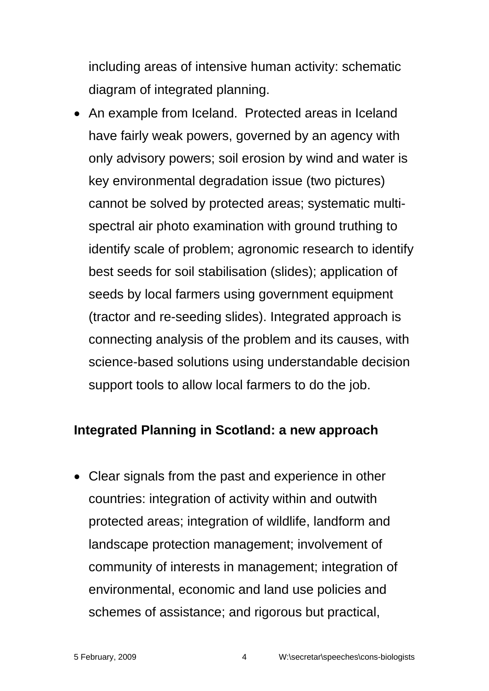including areas of intensive human activity: schematic diagram of integrated planning.

• An example from Iceland. Protected areas in Iceland have fairly weak powers, governed by an agency with only advisory powers; soil erosion by wind and water is key environmental degradation issue (two pictures) cannot be solved by protected areas; systematic multispectral air photo examination with ground truthing to identify scale of problem; agronomic research to identify best seeds for soil stabilisation (slides); application of seeds by local farmers using government equipment (tractor and re-seeding slides). Integrated approach is connecting analysis of the problem and its causes, with science-based solutions using understandable decision support tools to allow local farmers to do the job.

#### **Integrated Planning in Scotland: a new approach**

• Clear signals from the past and experience in other countries: integration of activity within and outwith protected areas; integration of wildlife, landform and landscape protection management; involvement of community of interests in management; integration of environmental, economic and land use policies and schemes of assistance; and rigorous but practical,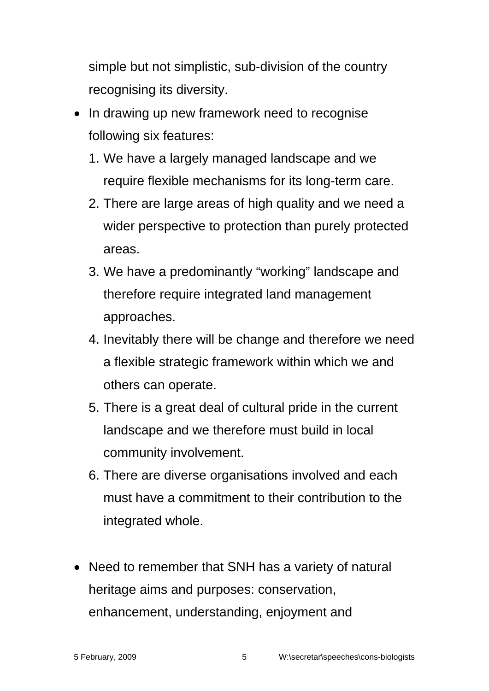simple but not simplistic, sub-division of the country recognising its diversity.

- In drawing up new framework need to recognise following six features:
	- 1. We have a largely managed landscape and we require flexible mechanisms for its long-term care.
	- 2. There are large areas of high quality and we need a wider perspective to protection than purely protected areas.
	- 3. We have a predominantly "working" landscape and therefore require integrated land management approaches.
	- 4. Inevitably there will be change and therefore we need a flexible strategic framework within which we and others can operate.
	- 5. There is a great deal of cultural pride in the current landscape and we therefore must build in local community involvement.
	- 6. There are diverse organisations involved and each must have a commitment to their contribution to the integrated whole.
- Need to remember that SNH has a variety of natural heritage aims and purposes: conservation, enhancement, understanding, enjoyment and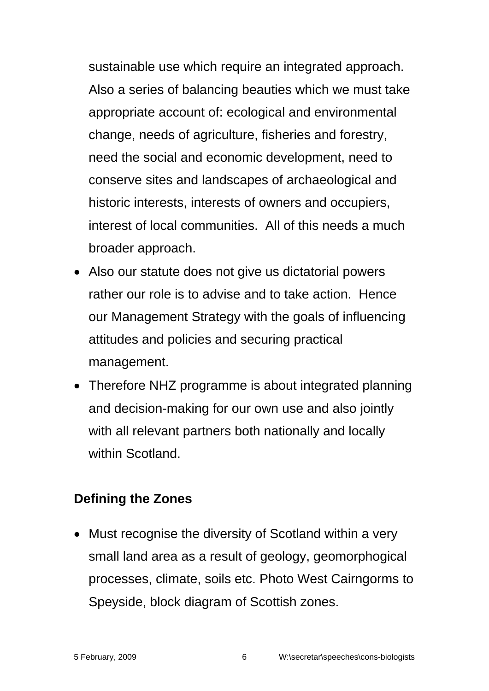sustainable use which require an integrated approach. Also a series of balancing beauties which we must take appropriate account of: ecological and environmental change, needs of agriculture, fisheries and forestry, need the social and economic development, need to conserve sites and landscapes of archaeological and historic interests, interests of owners and occupiers, interest of local communities. All of this needs a much broader approach.

- Also our statute does not give us dictatorial powers rather our role is to advise and to take action. Hence our Management Strategy with the goals of influencing attitudes and policies and securing practical management.
- Therefore NHZ programme is about integrated planning and decision-making for our own use and also jointly with all relevant partners both nationally and locally within Scotland.

#### **Defining the Zones**

• Must recognise the diversity of Scotland within a very small land area as a result of geology, geomorphogical processes, climate, soils etc. Photo West Cairngorms to Speyside, block diagram of Scottish zones.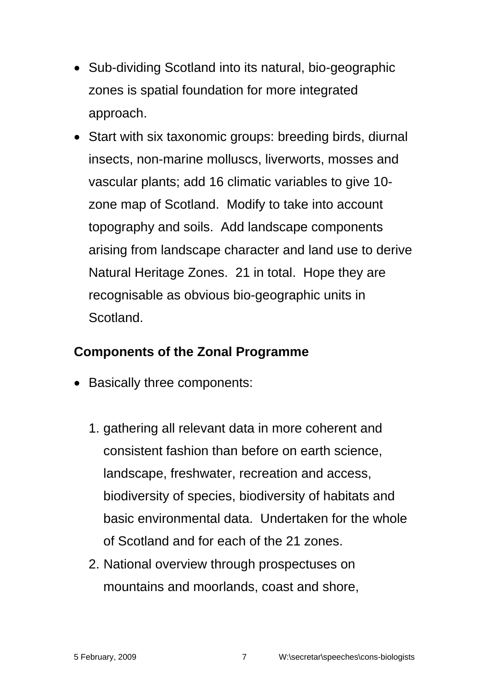- Sub-dividing Scotland into its natural, bio-geographic zones is spatial foundation for more integrated approach.
- Start with six taxonomic groups: breeding birds, diurnal insects, non-marine molluscs, liverworts, mosses and vascular plants; add 16 climatic variables to give 10 zone map of Scotland. Modify to take into account topography and soils. Add landscape components arising from landscape character and land use to derive Natural Heritage Zones. 21 in total. Hope they are recognisable as obvious bio-geographic units in Scotland.

#### **Components of the Zonal Programme**

- Basically three components:
	- 1. gathering all relevant data in more coherent and consistent fashion than before on earth science, landscape, freshwater, recreation and access, biodiversity of species, biodiversity of habitats and basic environmental data. Undertaken for the whole of Scotland and for each of the 21 zones.
	- 2. National overview through prospectuses on mountains and moorlands, coast and shore,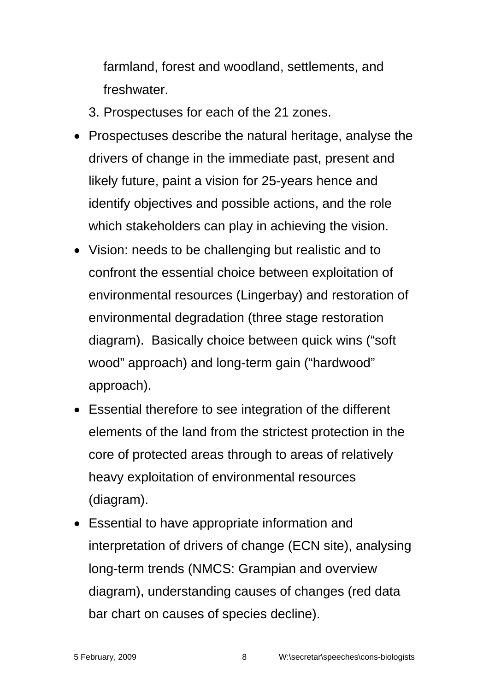farmland, forest and woodland, settlements, and **freshwater** 

3. Prospectuses for each of the 21 zones.

- Prospectuses describe the natural heritage, analyse the drivers of change in the immediate past, present and likely future, paint a vision for 25-years hence and identify objectives and possible actions, and the role which stakeholders can play in achieving the vision.
- Vision: needs to be challenging but realistic and to confront the essential choice between exploitation of environmental resources (Lingerbay) and restoration of environmental degradation (three stage restoration diagram). Basically choice between quick wins ("soft wood" approach) and long-term gain ("hardwood" approach).
- Essential therefore to see integration of the different elements of the land from the strictest protection in the core of protected areas through to areas of relatively heavy exploitation of environmental resources (diagram).
- Essential to have appropriate information and interpretation of drivers of change (ECN site), analysing long-term trends (NMCS: Grampian and overview diagram), understanding causes of changes (red data bar chart on causes of species decline).